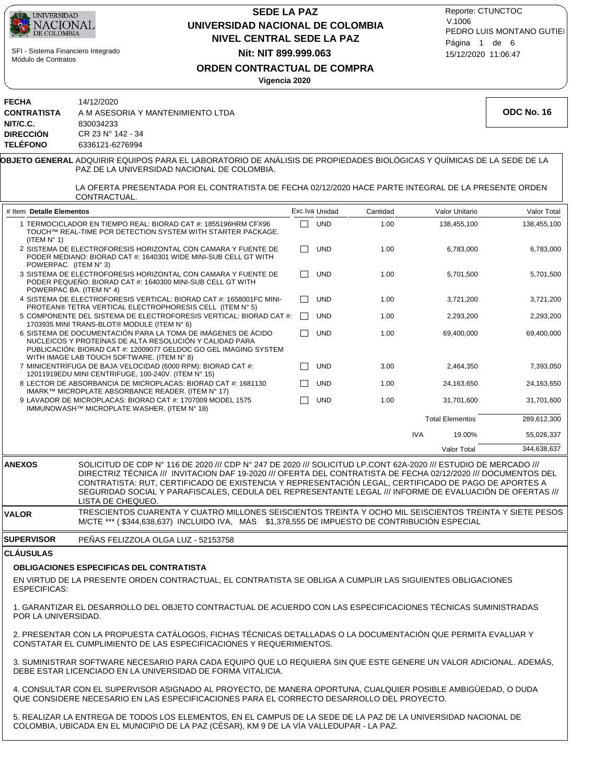

5. REALIZAR LA ENTREGA DE TODOS LOS ELEMENTOS, EN EL CAMPUS DE LA SEDE DE LA PAZ DE LA UNIVERSIDAD NACIONAL DE COLOMBIA, UBICADA EN EL MUNICIPIO DE LA PAZ (CÉSAR), KM 9 DE LA VÍA VALLEDUPAR - LA PAZ.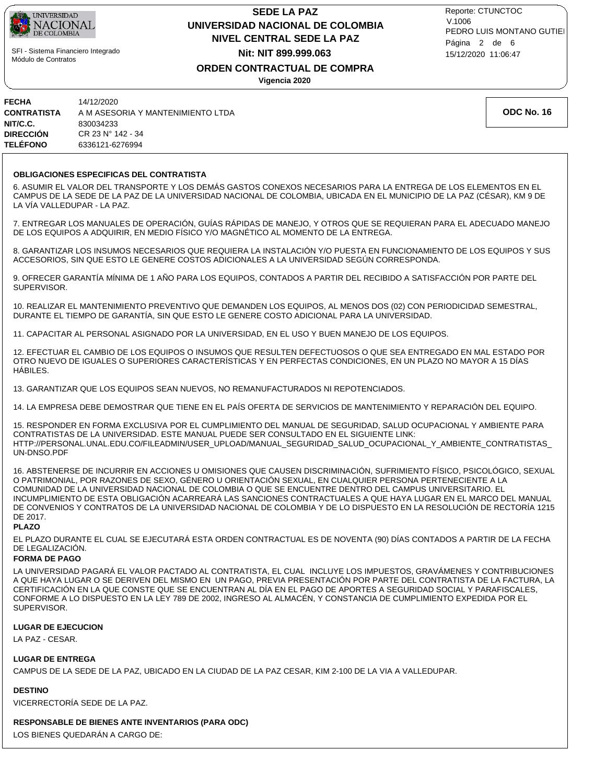

## **NIVEL CENTRAL SEDE LA PAZ SEDE LA PAZ UNIVERSIDAD NACIONAL DE COLOMBIA Nit: NIT 899.999.063**

15/12/2020 11:06:47 PEDRO LUIS MONTANO GUTIEI Reporte: CTUNCTOC V.1006 Página 2 de 6

### **ORDEN CONTRACTUAL DE COMPRA**

**Vigencia 2020**

| <b>FECHA</b>       | 14/12/2020                        |
|--------------------|-----------------------------------|
| <b>CONTRATISTA</b> | A M ASESORIA Y MANTENIMIENTO LTDA |
| NIT/C.C.           | 830034233                         |
| <b>DIRECCIÓN</b>   | CR 23 N° 142 - 34                 |
| <b>TELÉFONO</b>    | 6336121-6276994                   |

**ODC No. 16**

### **OBLIGACIONES ESPECIFICAS DEL CONTRATISTA**

6. ASUMIR EL VALOR DEL TRANSPORTE Y LOS DEMÁS GASTOS CONEXOS NECESARIOS PARA LA ENTREGA DE LOS ELEMENTOS EN EL CAMPUS DE LA SEDE DE LA PAZ DE LA UNIVERSIDAD NACIONAL DE COLOMBIA, UBICADA EN EL MUNICIPIO DE LA PAZ (CÉSAR), KM 9 DE LA VÍA VALLEDUPAR - LA PAZ.

7. ENTREGAR LOS MANUALES DE OPERACIÓN, GUÍAS RÁPIDAS DE MANEJO, Y OTROS QUE SE REQUIERAN PARA EL ADECUADO MANEJO DE LOS EQUIPOS A ADQUIRIR, EN MEDIO FÍSICO Y/O MAGNÉTICO AL MOMENTO DE LA ENTREGA.

8. GARANTIZAR LOS INSUMOS NECESARIOS QUE REQUIERA LA INSTALACIÓN Y/O PUESTA EN FUNCIONAMIENTO DE LOS EQUIPOS Y SUS ACCESORIOS, SIN QUE ESTO LE GENERE COSTOS ADICIONALES A LA UNIVERSIDAD SEGÚN CORRESPONDA.

9. OFRECER GARANTÍA MÍNIMA DE 1 AÑO PARA LOS EQUIPOS, CONTADOS A PARTIR DEL RECIBIDO A SATISFACCIÓN POR PARTE DEL SUPERVISOR.

10. REALIZAR EL MANTENIMIENTO PREVENTIVO QUE DEMANDEN LOS EQUIPOS, AL MENOS DOS (02) CON PERIODICIDAD SEMESTRAL, DURANTE EL TIEMPO DE GARANTÍA, SIN QUE ESTO LE GENERE COSTO ADICIONAL PARA LA UNIVERSIDAD.

11. CAPACITAR AL PERSONAL ASIGNADO POR LA UNIVERSIDAD, EN EL USO Y BUEN MANEJO DE LOS EQUIPOS.

12. EFECTUAR EL CAMBIO DE LOS EQUIPOS O INSUMOS QUE RESULTEN DEFECTUOSOS O QUE SEA ENTREGADO EN MAL ESTADO POR OTRO NUEVO DE IGUALES O SUPERIORES CARACTERÍSTICAS Y EN PERFECTAS CONDICIONES, EN UN PLAZO NO MAYOR A 15 DÍAS HÁBILES.

13. GARANTIZAR QUE LOS EQUIPOS SEAN NUEVOS, NO REMANUFACTURADOS NI REPOTENCIADOS.

14. LA EMPRESA DEBE DEMOSTRAR QUE TIENE EN EL PAÍS OFERTA DE SERVICIOS DE MANTENIMIENTO Y REPARACIÓN DEL EQUIPO.

15. RESPONDER EN FORMA EXCLUSIVA POR EL CUMPLIMIENTO DEL MANUAL DE SEGURIDAD, SALUD OCUPACIONAL Y AMBIENTE PARA CONTRATISTAS DE LA UNIVERSIDAD. ESTE MANUAL PUEDE SER CONSULTADO EN EL SIGUIENTE LINK: HTTP://PERSONAL.UNAL.EDU.CO/FILEADMIN/USER\_UPLOAD/MANUAL\_SEGURIDAD\_SALUD\_OCUPACIONAL\_Y\_AMBIENTE\_CONTRATISTAS\_ UN-DNSO.PDF

16. ABSTENERSE DE INCURRIR EN ACCIONES U OMISIONES QUE CAUSEN DISCRIMINACIÓN, SUFRIMIENTO FÍSICO, PSICOLÓGICO, SEXUAL O PATRIMONIAL, POR RAZONES DE SEXO, GÉNERO U ORIENTACIÓN SEXUAL, EN CUALQUIER PERSONA PERTENECIENTE A LA COMUNIDAD DE LA UNIVERSIDAD NACIONAL DE COLOMBIA O QUE SE ENCUENTRE DENTRO DEL CAMPUS UNIVERSITARIO. EL INCUMPLIMIENTO DE ESTA OBLIGACIÓN ACARREARÁ LAS SANCIONES CONTRACTUALES A QUE HAYA LUGAR EN EL MARCO DEL MANUAL DE CONVENIOS Y CONTRATOS DE LA UNIVERSIDAD NACIONAL DE COLOMBIA Y DE LO DISPUESTO EN LA RESOLUCIÓN DE RECTORÍA 1215 DE 2017.

### **PLAZO**

EL PLAZO DURANTE EL CUAL SE EJECUTARÁ ESTA ORDEN CONTRACTUAL ES DE NOVENTA (90) DÍAS CONTADOS A PARTIR DE LA FECHA DE LEGALIZACIÓN.

### **FORMA DE PAGO**

LA UNIVERSIDAD PAGARÁ EL VALOR PACTADO AL CONTRATISTA, EL CUAL INCLUYE LOS IMPUESTOS, GRAVÁMENES Y CONTRIBUCIONES A QUE HAYA LUGAR O SE DERIVEN DEL MISMO EN UN PAGO, PREVIA PRESENTACIÓN POR PARTE DEL CONTRATISTA DE LA FACTURA, LA CERTIFICACIÓN EN LA QUE CONSTE QUE SE ENCUENTRAN AL DÍA EN EL PAGO DE APORTES A SEGURIDAD SOCIAL Y PARAFISCALES, CONFORME A LO DISPUESTO EN LA LEY 789 DE 2002, INGRESO AL ALMACÉN, Y CONSTANCIA DE CUMPLIMIENTO EXPEDIDA POR EL SUPERVISOR.

### **LUGAR DE EJECUCION**

LA PAZ - CESAR.

### **LUGAR DE ENTREGA**

CAMPUS DE LA SEDE DE LA PAZ, UBICADO EN LA CIUDAD DE LA PAZ CESAR, KIM 2-100 DE LA VIA A VALLEDUPAR.

### **DESTINO**

VICERRECTORÍA SEDE DE LA PAZ.

### **RESPONSABLE DE BIENES ANTE INVENTARIOS (PARA ODC)**

LOS BIENES QUEDARÁN A CARGO DE: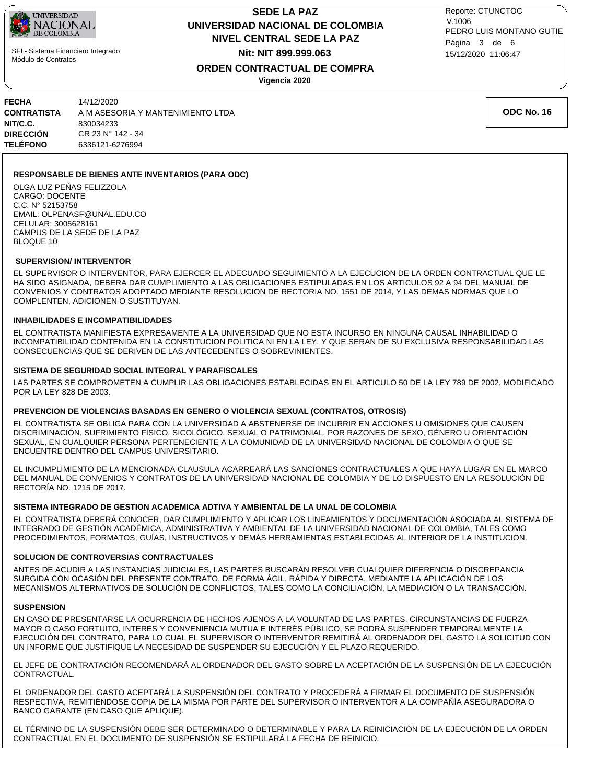

## **NIVEL CENTRAL SEDE LA PAZ SEDE LA PAZ UNIVERSIDAD NACIONAL DE COLOMBIA Nit: NIT 899.999.063**

15/12/2020 11:06:47 PEDRO LUIS MONTANO GUTIEI Reporte: CTUNCTOC V.1006 Página 3 de 6

## **ORDEN CONTRACTUAL DE COMPRA**

**Vigencia 2020**

| FECHA           | 14/12/2020                        |
|-----------------|-----------------------------------|
| CONTRATISTA     | A M ASESORIA Y MANTENIMIENTO LTDA |
| NIT/C.C.        | 830034233                         |
| DIRECCIÓN       | CR 23 N° 142 - 34                 |
| <b>TELÉFONO</b> | 6336121-6276994                   |
|                 |                                   |

**ODC No. 16**

### **RESPONSABLE DE BIENES ANTE INVENTARIOS (PARA ODC)**

OLGA LUZ PEÑAS FELIZZOLA CARGO: DOCENTE C.C. N° 52153758 EMAIL: OLPENASF@UNAL.EDU.CO CELULAR: 3005628161 CAMPUS DE LA SEDE DE LA PAZ BLOQUE 10

### **SUPERVISION/ INTERVENTOR**

EL SUPERVISOR O INTERVENTOR, PARA EJERCER EL ADECUADO SEGUIMIENTO A LA EJECUCION DE LA ORDEN CONTRACTUAL QUE LE HA SIDO ASIGNADA, DEBERA DAR CUMPLIMIENTO A LAS OBLIGACIONES ESTIPULADAS EN LOS ARTICULOS 92 A 94 DEL MANUAL DE CONVENIOS Y CONTRATOS ADOPTADO MEDIANTE RESOLUCION DE RECTORIA NO. 1551 DE 2014, Y LAS DEMAS NORMAS QUE LO COMPLENTEN, ADICIONEN O SUSTITUYAN.

### **INHABILIDADES E INCOMPATIBILIDADES**

EL CONTRATISTA MANIFIESTA EXPRESAMENTE A LA UNIVERSIDAD QUE NO ESTA INCURSO EN NINGUNA CAUSAL INHABILIDAD O INCOMPATIBILIDAD CONTENIDA EN LA CONSTITUCION POLITICA NI EN LA LEY, Y QUE SERAN DE SU EXCLUSIVA RESPONSABILIDAD LAS CONSECUENCIAS QUE SE DERIVEN DE LAS ANTECEDENTES O SOBREVINIENTES.

### **SISTEMA DE SEGURIDAD SOCIAL INTEGRAL Y PARAFISCALES**

LAS PARTES SE COMPROMETEN A CUMPLIR LAS OBLIGACIONES ESTABLECIDAS EN EL ARTICULO 50 DE LA LEY 789 DE 2002, MODIFICADO POR LA LEY 828 DE 2003.

### **PREVENCION DE VIOLENCIAS BASADAS EN GENERO O VIOLENCIA SEXUAL (CONTRATOS, OTROSIS)**

EL CONTRATISTA SE OBLIGA PARA CON LA UNIVERSIDAD A ABSTENERSE DE INCURRIR EN ACCIONES U OMISIONES QUE CAUSEN DISCRIMINACIÓN, SUFRIMIENTO FÍSICO, SICOLÓGICO, SEXUAL O PATRIMONIAL, POR RAZONES DE SEXO, GÉNERO U ORIENTACIÓN SEXUAL, EN CUALQUIER PERSONA PERTENECIENTE A LA COMUNIDAD DE LA UNIVERSIDAD NACIONAL DE COLOMBIA O QUE SE ENCUENTRE DENTRO DEL CAMPUS UNIVERSITARIO.

EL INCUMPLIMIENTO DE LA MENCIONADA CLAUSULA ACARREARÁ LAS SANCIONES CONTRACTUALES A QUE HAYA LUGAR EN EL MARCO DEL MANUAL DE CONVENIOS Y CONTRATOS DE LA UNIVERSIDAD NACIONAL DE COLOMBIA Y DE LO DISPUESTO EN LA RESOLUCIÓN DE RECTORÍA NO. 1215 DE 2017.

### **SISTEMA INTEGRADO DE GESTION ACADEMICA ADTIVA Y AMBIENTAL DE LA UNAL DE COLOMBIA**

EL CONTRATISTA DEBERÁ CONOCER, DAR CUMPLIMIENTO Y APLICAR LOS LINEAMIENTOS Y DOCUMENTACIÓN ASOCIADA AL SISTEMA DE INTEGRADO DE GESTIÓN ACADÉMICA, ADMINISTRATIVA Y AMBIENTAL DE LA UNIVERSIDAD NACIONAL DE COLOMBIA, TALES COMO PROCEDIMIENTOS, FORMATOS, GUÍAS, INSTRUCTIVOS Y DEMÁS HERRAMIENTAS ESTABLECIDAS AL INTERIOR DE LA INSTITUCIÓN.

### **SOLUCION DE CONTROVERSIAS CONTRACTUALES**

ANTES DE ACUDIR A LAS INSTANCIAS JUDICIALES, LAS PARTES BUSCARÁN RESOLVER CUALQUIER DIFERENCIA O DISCREPANCIA SURGIDA CON OCASIÓN DEL PRESENTE CONTRATO, DE FORMA ÁGIL, RÁPIDA Y DIRECTA, MEDIANTE LA APLICACIÓN DE LOS MECANISMOS ALTERNATIVOS DE SOLUCIÓN DE CONFLICTOS, TALES COMO LA CONCILIACIÓN, LA MEDIACIÓN O LA TRANSACCIÓN.

### **SUSPENSION**

EN CASO DE PRESENTARSE LA OCURRENCIA DE HECHOS AJENOS A LA VOLUNTAD DE LAS PARTES, CIRCUNSTANCIAS DE FUERZA MAYOR O CASO FORTUITO, INTERÉS Y CONVENIENCIA MUTUA E INTERÉS PÚBLICO, SE PODRÁ SUSPENDER TEMPORALMENTE LA EJECUCIÓN DEL CONTRATO, PARA LO CUAL EL SUPERVISOR O INTERVENTOR REMITIRÁ AL ORDENADOR DEL GASTO LA SOLICITUD CON UN INFORME QUE JUSTIFIQUE LA NECESIDAD DE SUSPENDER SU EJECUCIÓN Y EL PLAZO REQUERIDO.

EL JEFE DE CONTRATACIÓN RECOMENDARÁ AL ORDENADOR DEL GASTO SOBRE LA ACEPTACIÓN DE LA SUSPENSIÓN DE LA EJECUCIÓN CONTRACTUAL.

EL ORDENADOR DEL GASTO ACEPTARÁ LA SUSPENSIÓN DEL CONTRATO Y PROCEDERÁ A FIRMAR EL DOCUMENTO DE SUSPENSIÓN RESPECTIVA, REMITIÉNDOSE COPIA DE LA MISMA POR PARTE DEL SUPERVISOR O INTERVENTOR A LA COMPAÑÍA ASEGURADORA O BANCO GARANTE (EN CASO QUE APLIQUE).

EL TÉRMINO DE LA SUSPENSIÓN DEBE SER DETERMINADO O DETERMINABLE Y PARA LA REINICIACIÓN DE LA EJECUCIÓN DE LA ORDEN CONTRACTUAL EN EL DOCUMENTO DE SUSPENSIÓN SE ESTIPULARÁ LA FECHA DE REINICIO.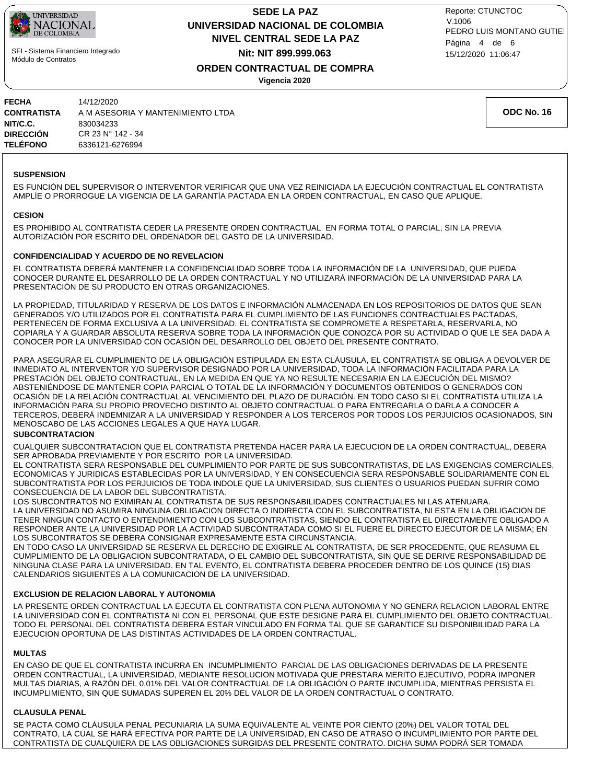

## **NIVEL CENTRAL SEDE LA PAZ SEDE LA PAZ UNIVERSIDAD NACIONAL DE COLOMBIA Nit: NIT 899.999.063**

15/12/2020 11:06:47 PEDRO LUIS MONTANO GUTIEI Reporte: CTUNCTOC V.1006 Página 4 de 6

**ORDEN CONTRACTUAL DE COMPRA**

**Vigencia 2020**

| <b>FECHA</b><br><b>CONTRATISTA</b><br>NIT/C.C.<br><b>DIRECCIÓN</b><br><b>TELÉFONO</b> | 14/12/2020<br>A M ASESORIA Y MANTENIMIENTO LTDA<br>830034233<br>CR 23 N° 142 - 34<br>6336121-6276994 |  |
|---------------------------------------------------------------------------------------|------------------------------------------------------------------------------------------------------|--|
|---------------------------------------------------------------------------------------|------------------------------------------------------------------------------------------------------|--|

### **SUSPENSION**

ES FUNCIÓN DEL SUPERVISOR O INTERVENTOR VERIFICAR QUE UNA VEZ REINICIADA LA EJECUCIÓN CONTRACTUAL EL CONTRATISTA AMPLÍE O PRORROGUE LA VIGENCIA DE LA GARANTÍA PACTADA EN LA ORDEN CONTRACTUAL, EN CASO QUE APLIQUE.

### **CESION**

ES PROHIBIDO AL CONTRATISTA CEDER LA PRESENTE ORDEN CONTRACTUAL EN FORMA TOTAL O PARCIAL, SIN LA PREVIA AUTORIZACIÓN POR ESCRITO DEL ORDENADOR DEL GASTO DE LA UNIVERSIDAD.

### **CONFIDENCIALIDAD Y ACUERDO DE NO REVELACION**

EL CONTRATISTA DEBERÁ MANTENER LA CONFIDENCIALIDAD SOBRE TODA LA INFORMACIÓN DE LA UNIVERSIDAD, QUE PUEDA CONOCER DURANTE EL DESARROLLO DE LA ORDEN CONTRACTUAL Y NO UTILIZARÁ INFORMACIÓN DE LA UNIVERSIDAD PARA LA PRESENTACIÓN DE SU PRODUCTO EN OTRAS ORGANIZACIONES.

LA PROPIEDAD, TITULARIDAD Y RESERVA DE LOS DATOS E INFORMACIÓN ALMACENADA EN LOS REPOSITORIOS DE DATOS QUE SEAN GENERADOS Y/O UTILIZADOS POR EL CONTRATISTA PARA EL CUMPLIMIENTO DE LAS FUNCIONES CONTRACTUALES PACTADAS, PERTENECEN DE FORMA EXCLUSIVA A LA UNIVERSIDAD. EL CONTRATISTA SE COMPROMETE A RESPETARLA, RESERVARLA, NO COPIARLA Y A GUARDAR ABSOLUTA RESERVA SOBRE TODA LA INFORMACIÓN QUE CONOZCA POR SU ACTIVIDAD O QUE LE SEA DADA A CONOCER POR LA UNIVERSIDAD CON OCASIÓN DEL DESARROLLO DEL OBJETO DEL PRESENTE CONTRATO.

PARA ASEGURAR EL CUMPLIMIENTO DE LA OBLIGACIÓN ESTIPULADA EN ESTA CLÁUSULA, EL CONTRATISTA SE OBLIGA A DEVOLVER DE INMEDIATO AL INTERVENTOR Y/O SUPERVISOR DESIGNADO POR LA UNIVERSIDAD, TODA LA INFORMACIÓN FACILITADA PARA LA PRESTACIÓN DEL OBJETO CONTRACTUAL, EN LA MEDIDA EN QUE YA NO RESULTE NECESARIA EN LA EJECUCIÓN DEL MISMO? ABSTENIÉNDOSE DE MANTENER COPIA PARCIAL O TOTAL DE LA INFORMACIÓN Y DOCUMENTOS OBTENIDOS O GENERADOS CON OCASIÓN DE LA RELACIÓN CONTRACTUAL AL VENCIMIENTO DEL PLAZO DE DURACIÓN. EN TODO CASO SI EL CONTRATISTA UTILIZA LA INFORMACIÓN PARA SU PROPIO PROVECHO DISTINTO AL OBJETO CONTRACTUAL O PARA ENTREGARLA O DARLA A CONOCER A TERCEROS, DEBERÁ INDEMNIZAR A LA UNIVERSIDAD Y RESPONDER A LOS TERCEROS POR TODOS LOS PERJUICIOS OCASIONADOS, SIN MENOSCABO DE LAS ACCIONES LEGALES A QUE HAYA LUGAR.

### **SUBCONTRATACION**

CUALQUIER SUBCONTRATACION QUE EL CONTRATISTA PRETENDA HACER PARA LA EJECUCION DE LA ORDEN CONTRACTUAL, DEBERA SER APROBADA PREVIAMENTE Y POR ESCRITO POR LA UNIVERSIDAD.

EL CONTRATISTA SERA RESPONSABLE DEL CUMPLIMIENTO POR PARTE DE SUS SUBCONTRATISTAS, DE LAS EXIGENCIAS COMERCIALES, ECONOMICAS Y JURIDICAS ESTABLECIDAS POR LA UNIVERSIDAD, Y EN CONSECUENCIA SERA RESPONSABLE SOLIDARIAMENTE CON EL SUBCONTRATISTA POR LOS PERJUICIOS DE TODA INDOLE QUE LA UNIVERSIDAD, SUS CLIENTES O USUARIOS PUEDAN SUFRIR COMO CONSECUENCIA DE LA LABOR DEL SUBCONTRATISTA.

LOS SUBCONTRATOS NO EXIMIRAN AL CONTRATISTA DE SUS RESPONSABILIDADES CONTRACTUALES NI LAS ATENUARA. LA UNIVERSIDAD NO ASUMIRA NINGUNA OBLIGACION DIRECTA O INDIRECTA CON EL SUBCONTRATISTA, NI ESTA EN LA OBLIGACION DE TENER NINGUN CONTACTO O ENTENDIMIENTO CON LOS SUBCONTRATISTAS, SIENDO EL CONTRATISTA EL DIRECTAMENTE OBLIGADO A RESPONDER ANTE LA UNIVERSIDAD POR LA ACTIVIDAD SUBCONTRATADA COMO SI EL FUERE EL DIRECTO EJECUTOR DE LA MISMA; EN LOS SUBCONTRATOS SE DEBERA CONSIGNAR EXPRESAMENTE ESTA CIRCUNSTANCIA.

EN TODO CASO LA UNIVERSIDAD SE RESERVA EL DERECHO DE EXIGIRLE AL CONTRATISTA, DE SER PROCEDENTE, QUE REASUMA EL CUMPLIMIENTO DE LA OBLIGACION SUBCONTRATADA, O EL CAMBIO DEL SUBCONTRATISTA, SIN QUE SE DERIVE RESPONSABILIDAD DE NINGUNA CLASE PARA LA UNIVERSIDAD. EN TAL EVENTO, EL CONTRATISTA DEBERA PROCEDER DENTRO DE LOS QUINCE (15) DIAS CALENDARIOS SIGUIENTES A LA COMUNICACION DE LA UNIVERSIDAD.

### **EXCLUSION DE RELACION LABORAL Y AUTONOMIA**

LA PRESENTE ORDEN CONTRACTUAL LA EJECUTA EL CONTRATISTA CON PLENA AUTONOMIA Y NO GENERA RELACION LABORAL ENTRE LA UNIVERSIDAD CON EL CONTRATISTA NI CON EL PERSONAL QUE ESTE DESIGNE PARA EL CUMPLIMIENTO DEL OBJETO CONTRACTUAL. TODO EL PERSONAL DEL CONTRATISTA DEBERA ESTAR VINCULADO EN FORMA TAL QUE SE GARANTICE SU DISPONIBILIDAD PARA LA EJECUCION OPORTUNA DE LAS DISTINTAS ACTIVIDADES DE LA ORDEN CONTRACTUAL.

### **MULTAS**

EN CASO DE QUE EL CONTRATISTA INCURRA EN INCUMPLIMIENTO PARCIAL DE LAS OBLIGACIONES DERIVADAS DE LA PRESENTE ORDEN CONTRACTUAL, LA UNIVERSIDAD, MEDIANTE RESOLUCION MOTIVADA QUE PRESTARA MERITO EJECUTIVO, PODRA IMPONER MULTAS DIARIAS, A RAZÓN DEL 0,01% DEL VALOR CONTRACTUAL DE LA OBLIGACIÓN O PARTE INCUMPLIDA, MIENTRAS PERSISTA EL INCUMPLIMIENTO, SIN QUE SUMADAS SUPEREN EL 20% DEL VALOR DE LA ORDEN CONTRACTUAL O CONTRATO.

### **CLAUSULA PENAL**

SE PACTA COMO CLÁUSULA PENAL PECUNIARIA LA SUMA EQUIVALENTE AL VEINTE POR CIENTO (20%) DEL VALOR TOTAL DEL CONTRATO, LA CUAL SE HARÁ EFECTIVA POR PARTE DE LA UNIVERSIDAD, EN CASO DE ATRASO O INCUMPLIMIENTO POR PARTE DEL CONTRATISTA DE CUALQUIERA DE LAS OBLIGACIONES SURGIDAS DEL PRESENTE CONTRATO. DICHA SUMA PODRÁ SER TOMADA

**ODC No. 16**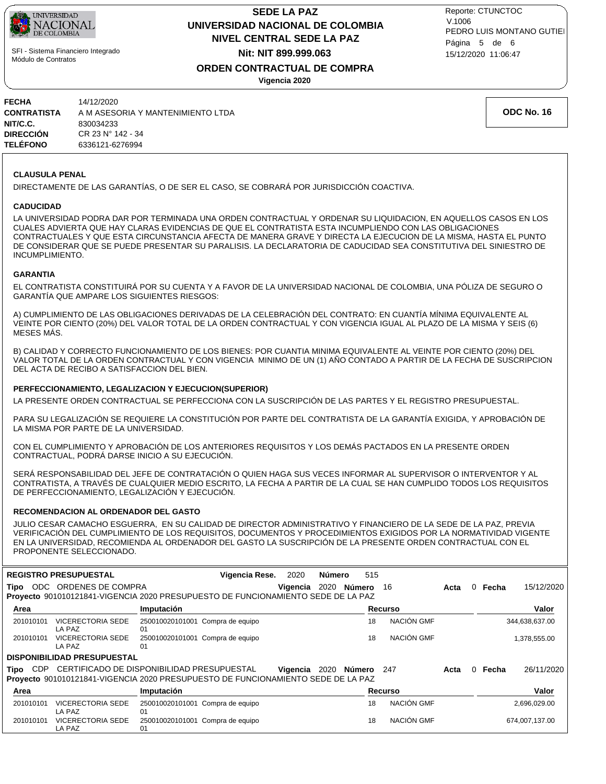

## **NIVEL CENTRAL SEDE LA PAZ SEDE LA PAZ UNIVERSIDAD NACIONAL DE COLOMBIA Nit: NIT 899.999.063**

15/12/2020 11:06:47 PEDRO LUIS MONTANO GUTIEI Reporte: CTUNCTOC V.1006 Página 5 de 6

# **ORDEN CONTRACTUAL DE COMPRA**

**Vigencia 2020**

| <b>FECHA</b><br><b>CONTRATISTA</b> | 14/12/2020<br>A M ASESORIA Y MANTENIMIENTO I TDA |
|------------------------------------|--------------------------------------------------|
| NIT/C.C.                           | 830034233                                        |
| <b>DIRECCIÓN</b>                   | CR 23 N° 142 - 34                                |
| <b>TELÉFONO</b>                    | 6336121-6276994                                  |
|                                    |                                                  |

### **CLAUSULA PENAL**

DIRECTAMENTE DE LAS GARANTÍAS, O DE SER EL CASO, SE COBRARÁ POR JURISDICCIÓN COACTIVA.

### **CADUCIDAD**

LA UNIVERSIDAD PODRA DAR POR TERMINADA UNA ORDEN CONTRACTUAL Y ORDENAR SU LIQUIDACION, EN AQUELLOS CASOS EN LOS CUALES ADVIERTA QUE HAY CLARAS EVIDENCIAS DE QUE EL CONTRATISTA ESTA INCUMPLIENDO CON LAS OBLIGACIONES CONTRACTUALES Y QUE ESTA CIRCUNSTANCIA AFECTA DE MANERA GRAVE Y DIRECTA LA EJECUCION DE LA MISMA, HASTA EL PUNTO DE CONSIDERAR QUE SE PUEDE PRESENTAR SU PARALISIS. LA DECLARATORIA DE CADUCIDAD SEA CONSTITUTIVA DEL SINIESTRO DE INCUMPLIMIENTO.

### **GARANTIA**

EL CONTRATISTA CONSTITUIRÁ POR SU CUENTA Y A FAVOR DE LA UNIVERSIDAD NACIONAL DE COLOMBIA, UNA PÓLIZA DE SEGURO O GARANTÍA QUE AMPARE LOS SIGUIENTES RIESGOS:

A) CUMPLIMIENTO DE LAS OBLIGACIONES DERIVADAS DE LA CELEBRACIÓN DEL CONTRATO: EN CUANTÍA MÍNIMA EQUIVALENTE AL VEINTE POR CIENTO (20%) DEL VALOR TOTAL DE LA ORDEN CONTRACTUAL Y CON VIGENCIA IGUAL AL PLAZO DE LA MISMA Y SEIS (6) MESES MÁS.

B) CALIDAD Y CORRECTO FUNCIONAMIENTO DE LOS BIENES: POR CUANTIA MINIMA EQUIVALENTE AL VEINTE POR CIENTO (20%) DEL VALOR TOTAL DE LA ORDEN CONTRACTUAL Y CON VIGENCIA MINIMO DE UN (1) AÑO CONTADO A PARTIR DE LA FECHA DE SUSCRIPCION DEL ACTA DE RECIBO A SATISFACCION DEL BIEN.

### **PERFECCIONAMIENTO, LEGALIZACION Y EJECUCION(SUPERIOR)**

LA PRESENTE ORDEN CONTRACTUAL SE PERFECCIONA CON LA SUSCRIPCIÓN DE LAS PARTES Y EL REGISTRO PRESUPUESTAL.

PARA SU LEGALIZACIÓN SE REQUIERE LA CONSTITUCIÓN POR PARTE DEL CONTRATISTA DE LA GARANTÍA EXIGIDA, Y APROBACIÓN DE LA MISMA POR PARTE DE LA UNIVERSIDAD.

CON EL CUMPLIMIENTO Y APROBACIÓN DE LOS ANTERIORES REQUISITOS Y LOS DEMÁS PACTADOS EN LA PRESENTE ORDEN CONTRACTUAL, PODRÁ DARSE INICIO A SU EJECUCIÓN.

SERÁ RESPONSABILIDAD DEL JEFE DE CONTRATACIÓN O QUIEN HAGA SUS VECES INFORMAR AL SUPERVISOR O INTERVENTOR Y AL CONTRATISTA, A TRAVÉS DE CUALQUIER MEDIO ESCRITO, LA FECHA A PARTIR DE LA CUAL SE HAN CUMPLIDO TODOS LOS REQUISITOS DE PERFECCIONAMIENTO, LEGALIZACIÓN Y EJECUCIÓN.

### **RECOMENDACION AL ORDENADOR DEL GASTO**

JULIO CESAR CAMACHO ESGUERRA, EN SU CALIDAD DE DIRECTOR ADMINISTRATIVO Y FINANCIERO DE LA SEDE DE LA PAZ, PREVIA VERIFICACIÓN DEL CUMPLIMIENTO DE LOS REQUISITOS, DOCUMENTOS Y PROCEDIMIENTOS EXIGIDOS POR LA NORMATIVIDAD VIGENTE EN LA UNIVERSIDAD, RECOMIENDA AL ORDENADOR DEL GASTO LA SUSCRIPCIÓN DE LA PRESENTE ORDEN CONTRACTUAL CON EL PROPONENTE SELECCIONADO.

|                    | <b>REGISTRO PRESUPUESTAL</b>                                                                                                   |                                        | Vigencia Rese.   | 2020     | Número | 515         |                |            |      |   |       |                |
|--------------------|--------------------------------------------------------------------------------------------------------------------------------|----------------------------------------|------------------|----------|--------|-------------|----------------|------------|------|---|-------|----------------|
| ODC<br>Tipo        | ORDENES DE COMPRA<br>Proyecto 901010121841-VIGENCIA 2020 PRESUPUESTO DE FUNCIONAMIENTO SEDE DE LA PAZ                          |                                        |                  | Vigencia |        | 2020 Número | 16             |            | Acta | 0 | Fecha | 15/12/2020     |
| Area               |                                                                                                                                | Imputación                             |                  |          |        |             | <b>Recurso</b> |            |      |   |       | Valor          |
| 201010101          | <b>VICERECTORIA SEDE</b><br>LA PAZ                                                                                             | 250010020101001 Compra de equipo<br>01 |                  |          |        |             | 18             | NACIÓN GMF |      |   |       | 344,638,637.00 |
| 201010101          | <b>VICERECTORIA SEDE</b><br>LA PAZ                                                                                             | 250010020101001 Compra de equipo<br>01 |                  |          |        |             | 18             | NACIÓN GMF |      |   |       | 1,378,555.00   |
|                    | <b>DISPONIBILIDAD PRESUPUESTAL</b>                                                                                             |                                        |                  |          |        |             |                |            |      |   |       |                |
| Tipo<br><b>CDP</b> | CERTIFICADO DE DISPONIBILIDAD PRESUPUESTAL<br>Proyecto 901010121841-VIGENCIA 2020 PRESUPUESTO DE FUNCIONAMIENTO SEDE DE LA PAZ |                                        |                  | Vigencia | 2020   | Número      | 247            |            | Acta | 0 | Fecha | 26/11/2020     |
| Area               |                                                                                                                                | Imputación                             |                  |          |        |             | Recurso        |            |      |   |       | Valor          |
| 201010101          | <b>VICERECTORIA SEDE</b><br>LA PAZ                                                                                             | 250010020101001<br>01                  | Compra de equipo |          |        |             | 18             | NACIÓN GMF |      |   |       | 2,696,029.00   |
| 201010101          | <b>VICERECTORIA SEDE</b><br>LA PAZ                                                                                             | 250010020101001 Compra de equipo<br>01 |                  |          |        |             | 18             | NACIÓN GMF |      |   |       | 674,007,137.00 |

**ODC No. 16**